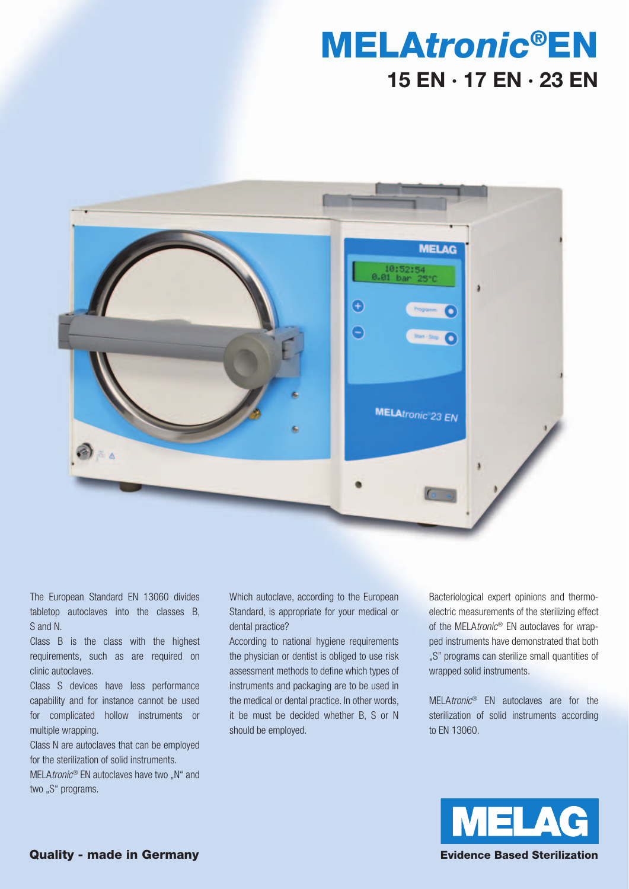# **MELA***tronic***®EN 15 EN · 17 EN · 23 EN**



The European Standard EN 13060 divides tabletop autoclaves into the classes B, S and N.

Class B is the class with the highest requirements, such as are required on clinic autoclaves.

Class S devices have less performance capability and for instance cannot be used for complicated hollow instruments or multiple wrapping.

Class N are autoclaves that can be employed for the sterilization of solid instruments. MELA*tronic®* EN autoclaves have two "N" and

two "S" programs.

Which autoclave, according to the European Standard, is appropriate for your medical or dental practice?

According to national hygiene requirements the physician or dentist is obliged to use risk assessment methods to define which types of instruments and packaging are to be used in the medical or dental practice. In other words, it be must be decided whether B, S or N should be employed.

 Bacteriological expert opinions and thermoelectric measurements of the sterilizing effect of the MELA*tronic*® EN autoclaves for wrapped instruments have demonstrated that both "S" programs can sterilize small quantities of wrapped solid instruments.

MELA*tronic*® EN autoclaves are for the sterilization of solid instruments according to EN 13060.

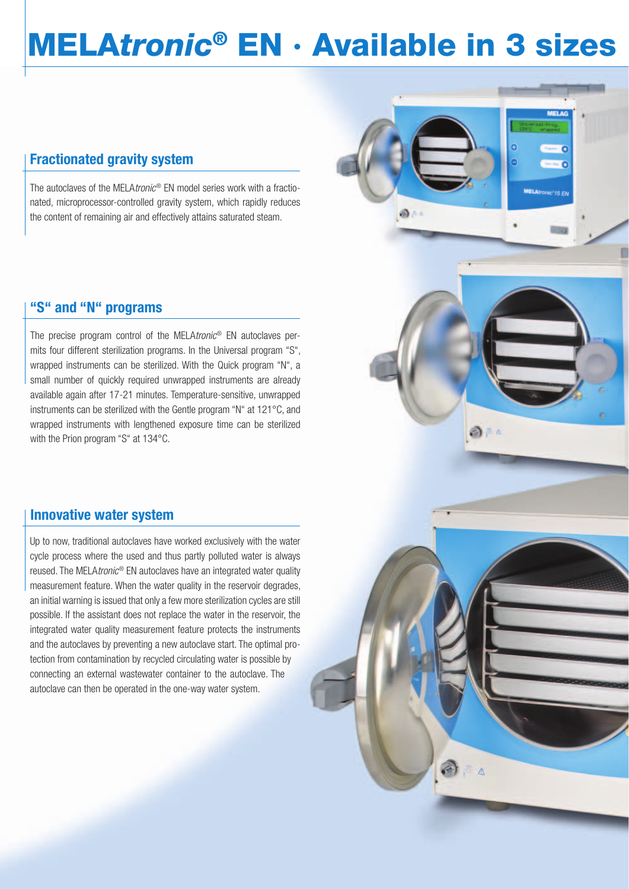# **MELA***tronic***® EN · Available in 3 sizes**

ை

合作

### **Fractionated gravity system**

The autoclaves of the MELA*tronic*® EN model series work with a fractionated, microprocessor-controlled gravity system, which rapidly reduces the content of remaining air and effectively attains saturated steam.

### **"S" and "N" programs**

 The precise program control of the MELA*tronic*® EN autoclaves permits four different sterilization programs. In the Universal program "S", wrapped instruments can be sterilized. With the Quick program "N", a small number of quickly required unwrapped instruments are already available again after 17-21 minutes. Temperature-sensitive, unwrapped instruments can be sterilized with the Gentle program "N" at 121°C, and wrapped instruments with lengthened exposure time can be sterilized with the Prion program "S" at 134°C.

#### **Innovative water system**

Up to now, traditional autoclaves have worked exclusively with the water cycle process where the used and thus partly polluted water is always reused. The MELA*tronic*® EN autoclaves have an integrated water quality measurement feature. When the water quality in the reservoir degrades, an initial warning is issued that only a few more sterilization cycles are still possible. If the assistant does not replace the water in the reservoir, the integrated water quality measurement feature protects the instruments and the autoclaves by preventing a new autoclave start. The optimal protection from contamination by recycled circulating water is possible by connecting an external wastewater container to the autoclave. The autoclave can then be operated in the one-way water system.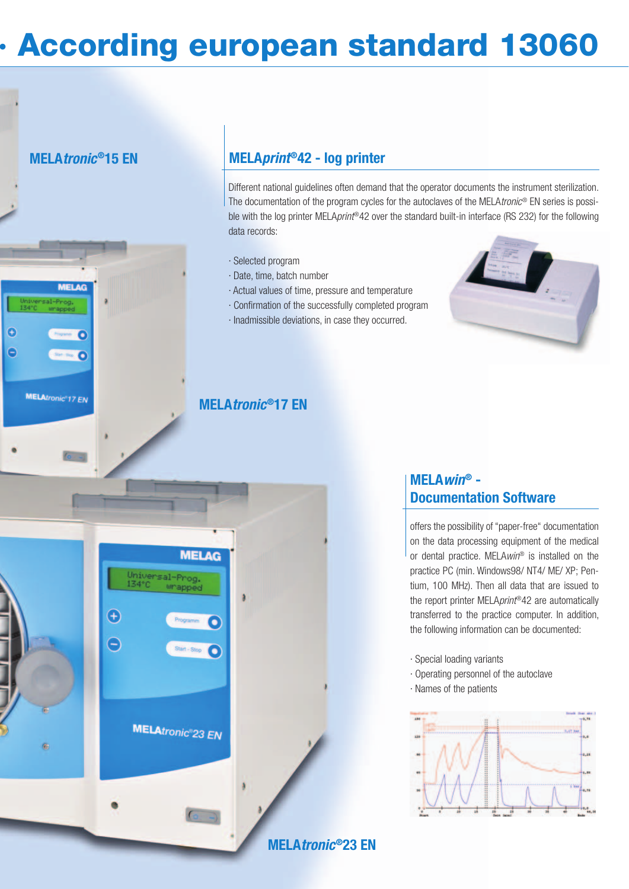# **· According european standard 13060**

### **MELA***tronic***®15 EN**

ē e

**MELAtronic 17 EN** 



 Different national guidelines often demand that the operator documents the instrument sterilization. The documentation of the program cycles for the autoclaves of the MELA*tronic*® EN series is possible with the log printer MELA*print*®42 over the standard built-in interface (RS 232) for the following data records:

- · Selected program
- · Date, time, batch number
- · Actual values of time, pressure and temperature
- $\cdot$  Confirmation of the successfully completed program
- · Inadmissible deviations, in case they occurred.



### **MELA***tronic***®17 EN**



## **MELA***win***® - Documentation Software**

 offers the possibility of "paper-free" documentation on the data processing equipment of the medical or dental practice. MELA*win*® is installed on the practice PC (min. Windows98/ NT4/ ME/ XP; Pentium, 100 MHz). Then all data that are issued to the report printer MELA*print*®42 are automatically transferred to the practice computer. In addition, the following information can be documented:

- · Special loading variants
- · Operating personnel of the autoclave
- · Names of the patients



**MELA***tronic***®23 EN**